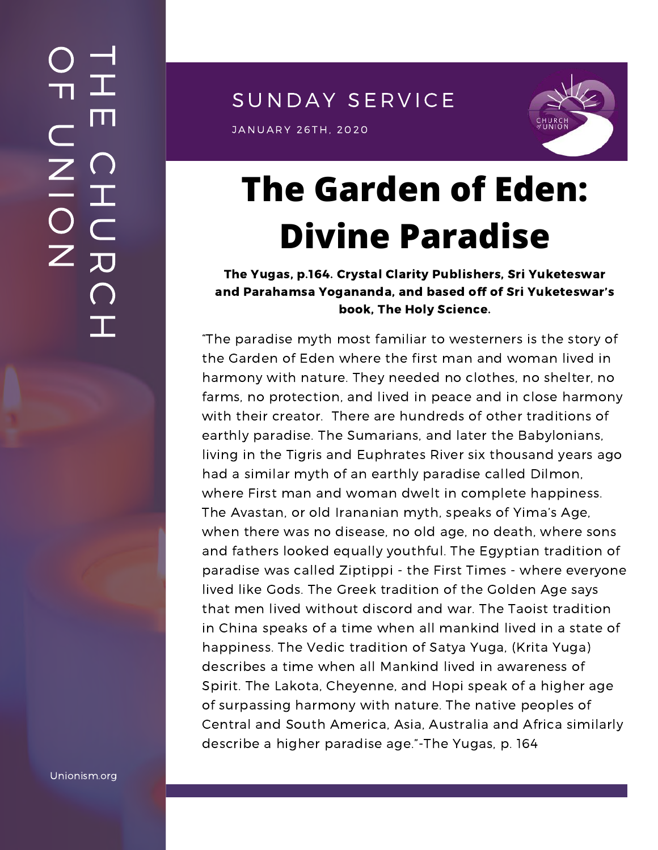SUNDAY SERVICE

JANUARY 26TH, 2020<br>J



# **The Garden of Eden: Divine Paradise**

The Yugas, p.164. Crystal Clarity Publishers, Sri Yuketeswar and Parahamsa Yogananda, and based off of Sri Yuketeswar's book, The Holy Science.

"The paradise myth most familiar to westerners is the story of the Garden of Eden where the first man and woman lived in harmony with nature. They needed no clothes, no shelter, no farms, no protection, and lived in peace and in close harmony with their creator. There are hundreds of other traditions of earthly paradise. The Sumarians, and later the Babylonians, living in the Tigris and Euphrates River six thousand years ago had a similar myth of an earthly paradise called Dilmon, where First man and woman dwelt in complete happiness. The Avastan, or old Irananian myth, speaks of Yima's Age, when there was no disease, no old age, no death, where sons and fathers looked equally youthful. The Egyptian tradition of paradise was called Ziptippi - the First Times - where everyone lived like Gods. The Greek tradition of the Golden Age says that men lived without discord and war. The Taoist tradition in China speaks of a time when all mankind lived in a state of happiness. The Vedic tradition of Satya Yuga, (Krita Yuga) describes a time when all Mankind lived in awareness of Spirit. The Lakota, Cheyenne, and Hopi speak of a higher age of surpassing harmony with nature. The native peoples of Central and South America, Asia, Australia and Africa similarly describe a higher paradise age."-The Yugas, p. 164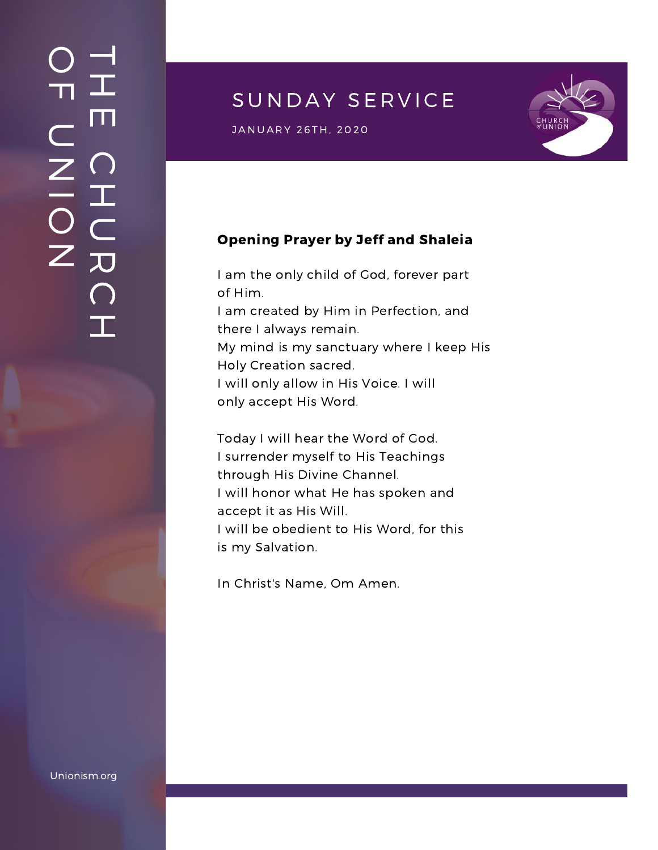### $\overline{\phantom{a}}$ H m.  $\bigcap$ H  $\subset$ 刀  $\bigcap$  $\mathbf{I}$  .  $\bigcirc$  $\blacksquare$  $\subset$  $\mathsf{Z}^+$ <u>In the Second Contract of the Second Contract of the International Second Contract of the International Second Contract of the International Second Contract of the International Second Contract of the International Second</u>  $\bigcirc$  $\mathsf{Z}^+$

## SUNDAY SERVICE

JANUARY 26TH, 2020<br>J



#### Opening Prayer by Jeff and Shaleia

I am the only child of God, forever part of Him. I am created by Him in Perfection, and there I always remain. My mind is my sanctuary where I keep His Holy Creation sacred. I will only allow in His Voice. I will only accept His Word.

Today I will hear the Word of God. I surrender myself to His Teachings through His Divine Channel. I will honor what He has spoken and accept it as His Will. I will be obedient to His Word, for this is my Salvation.

In Christ's Name, Om Amen.